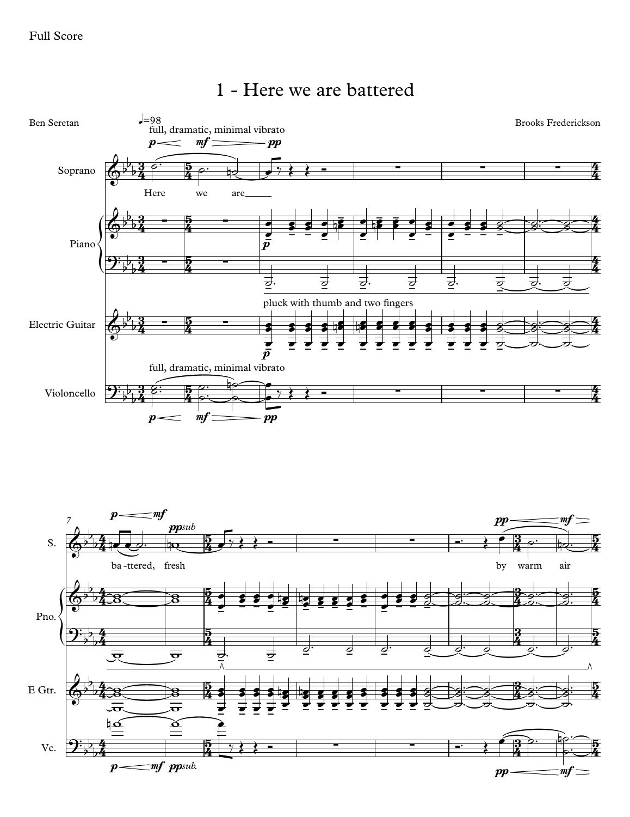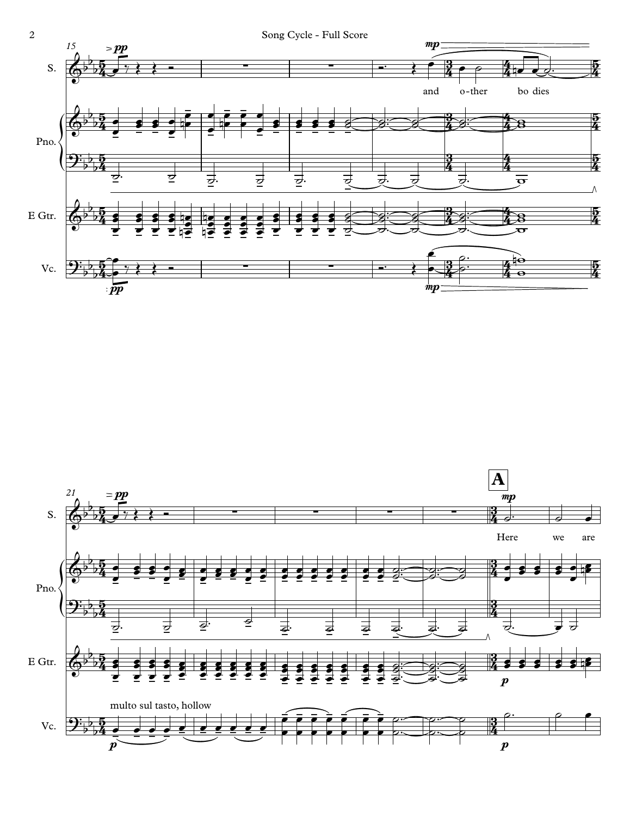

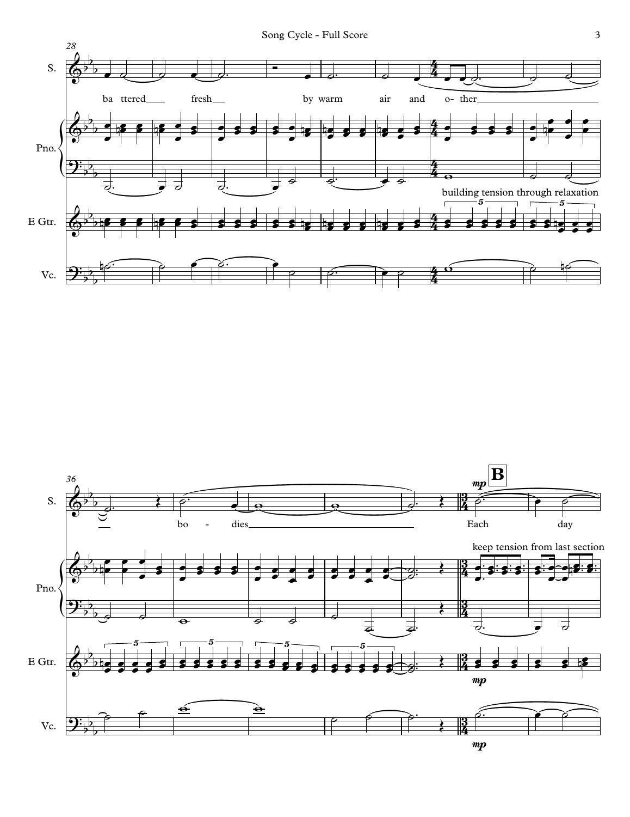

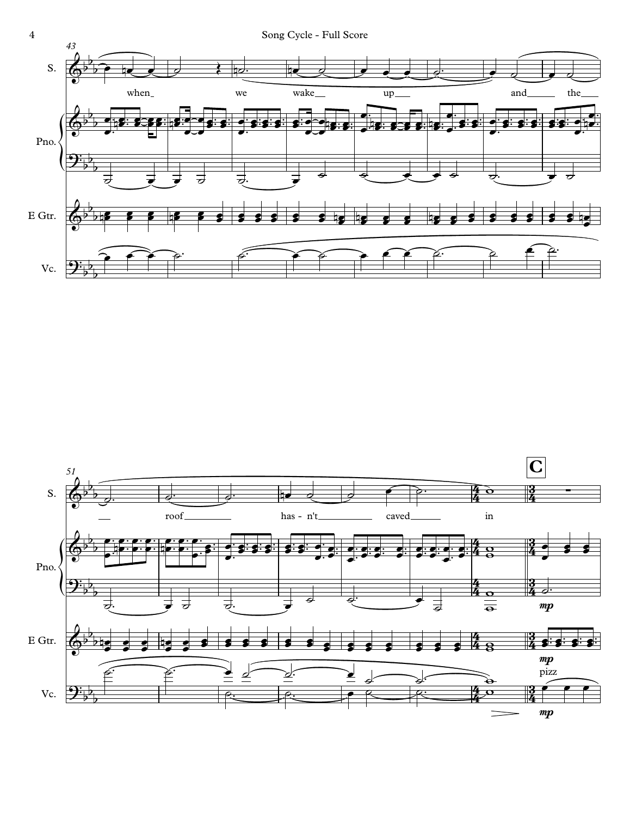



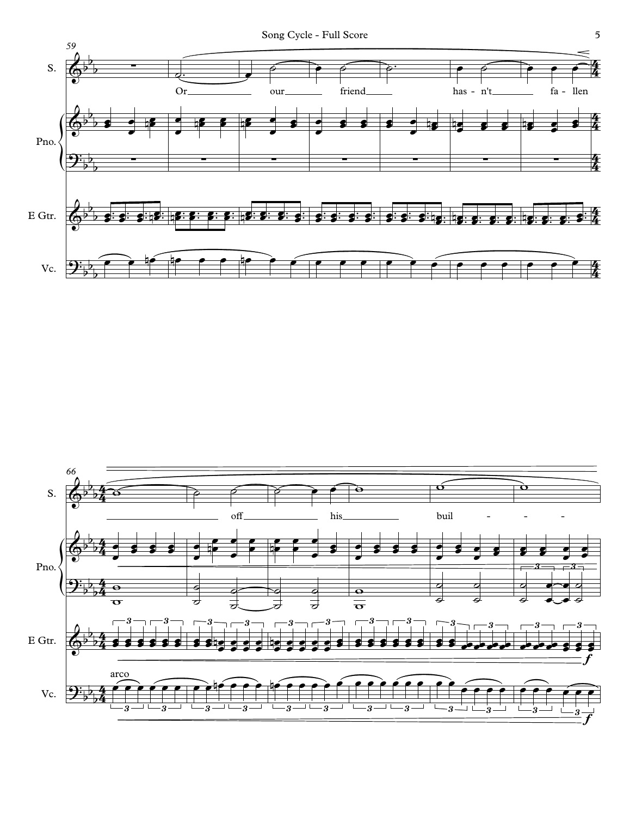

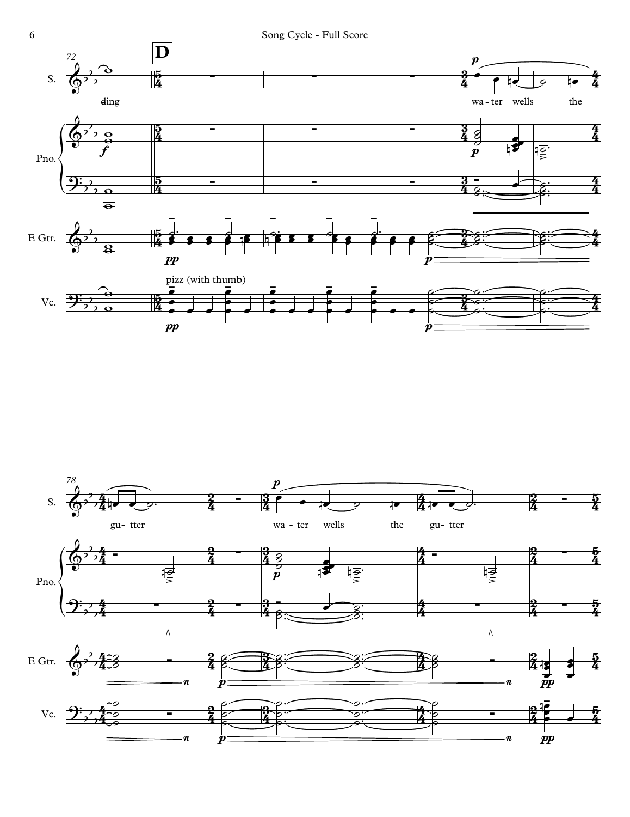

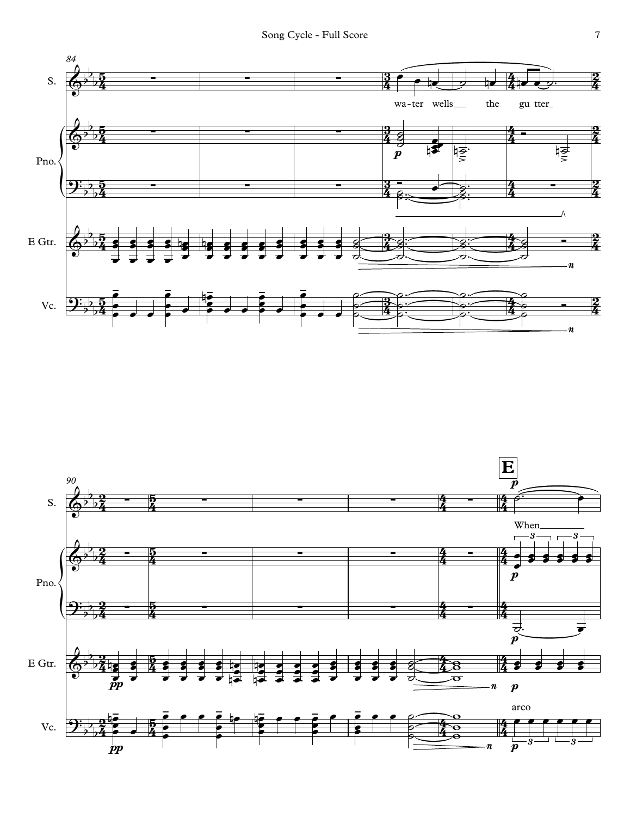

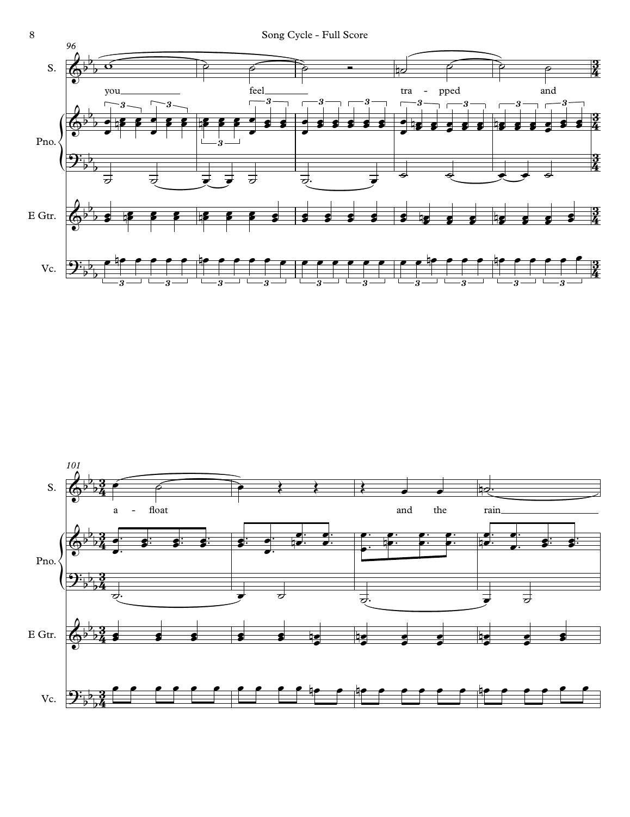

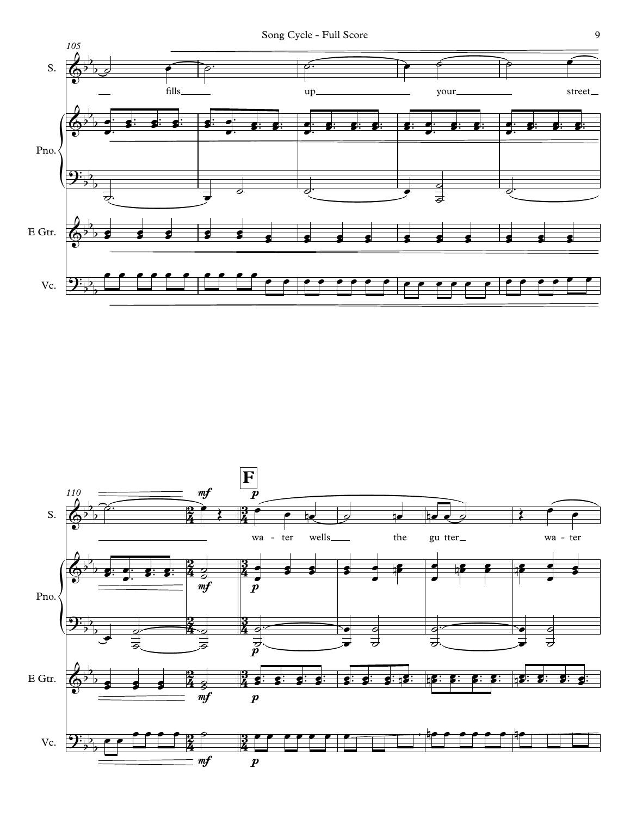

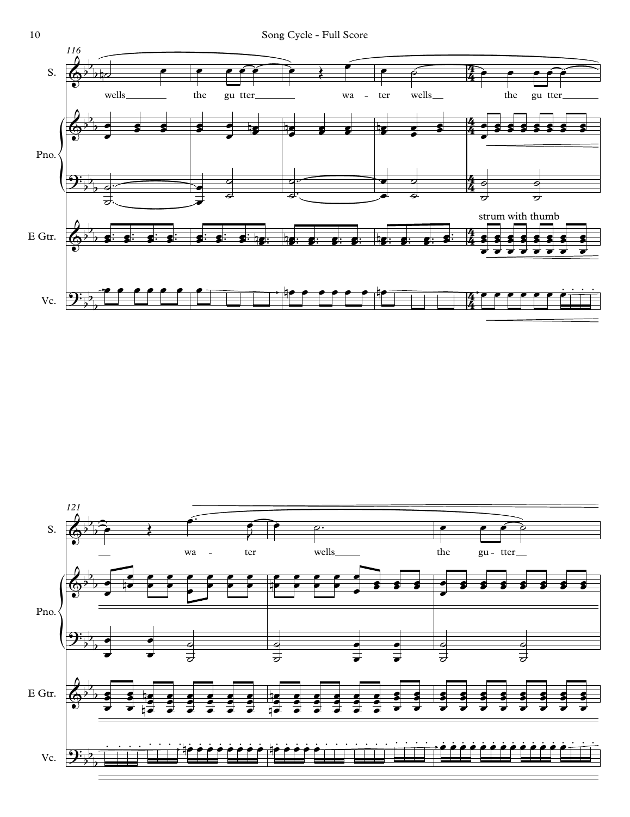

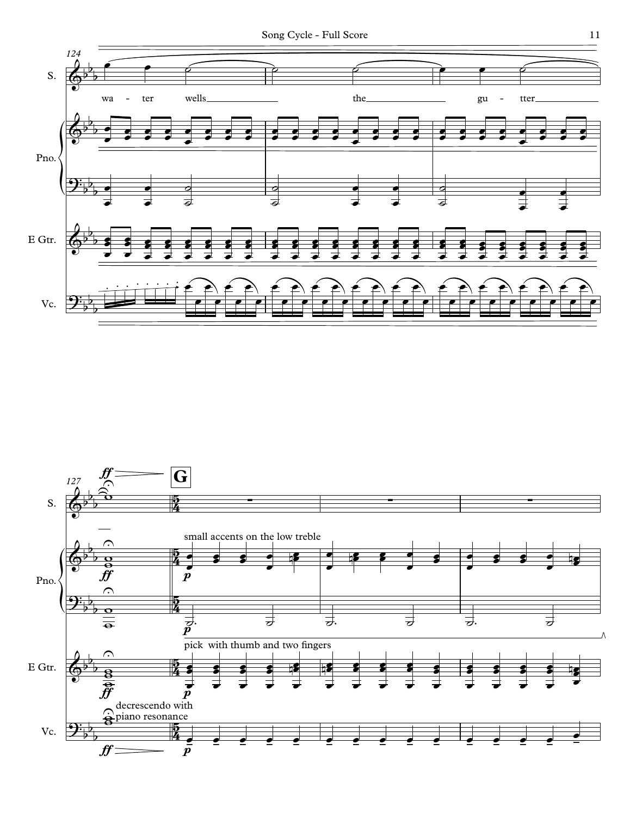

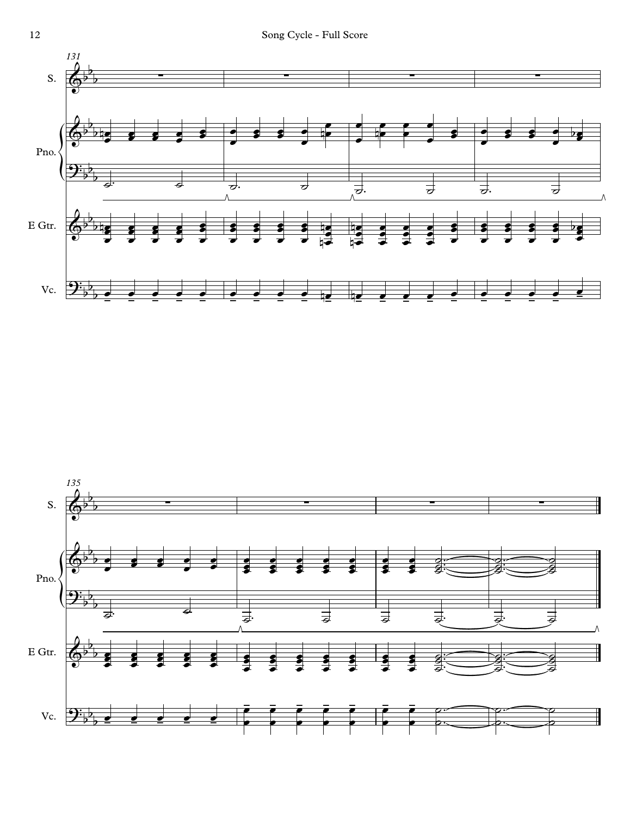

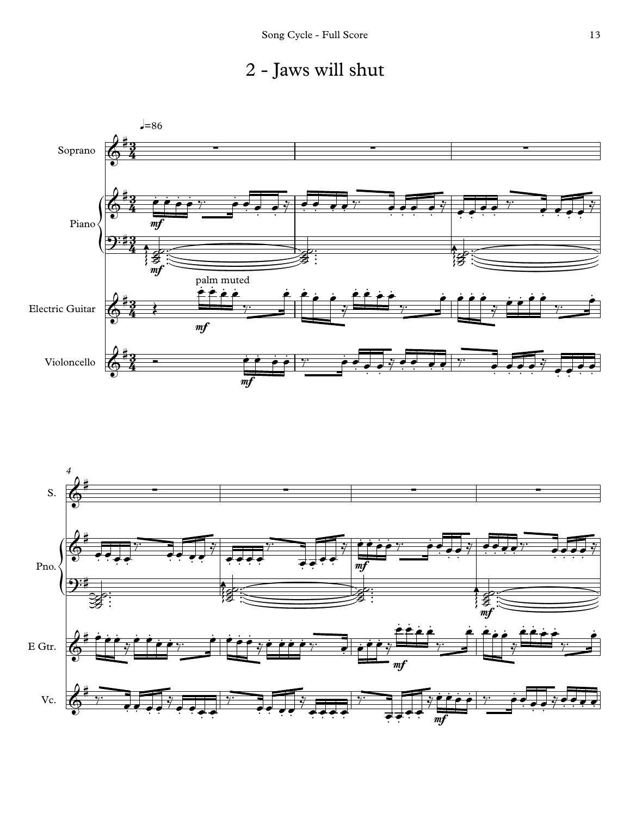## 2 - Jaws will shut



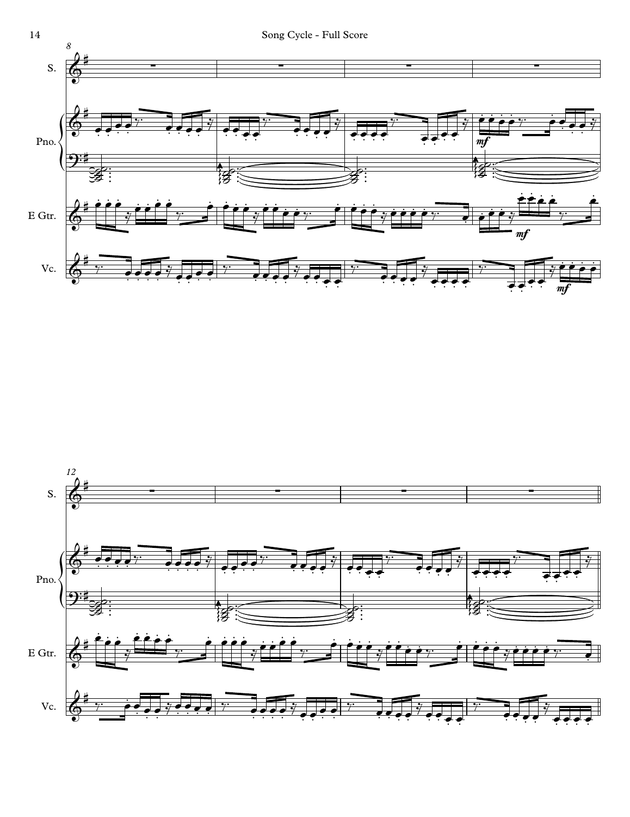

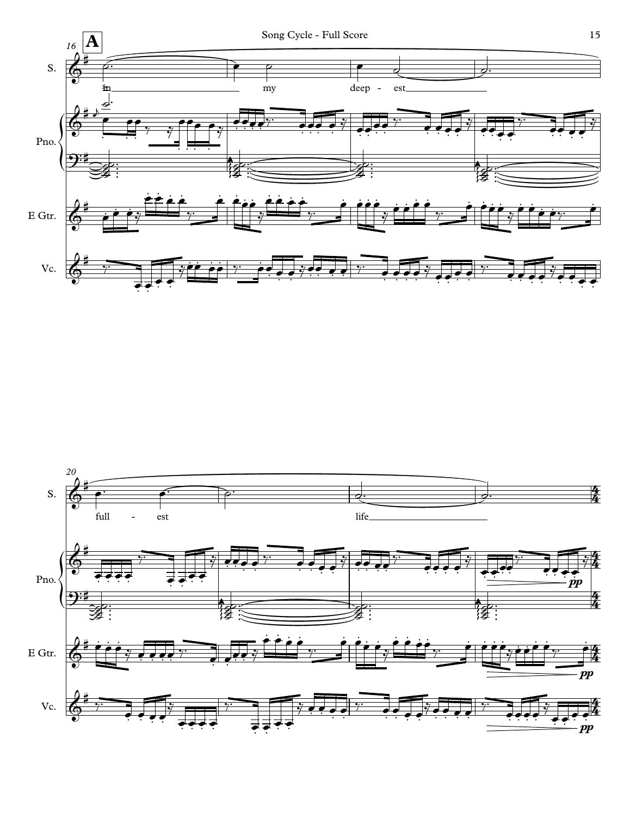

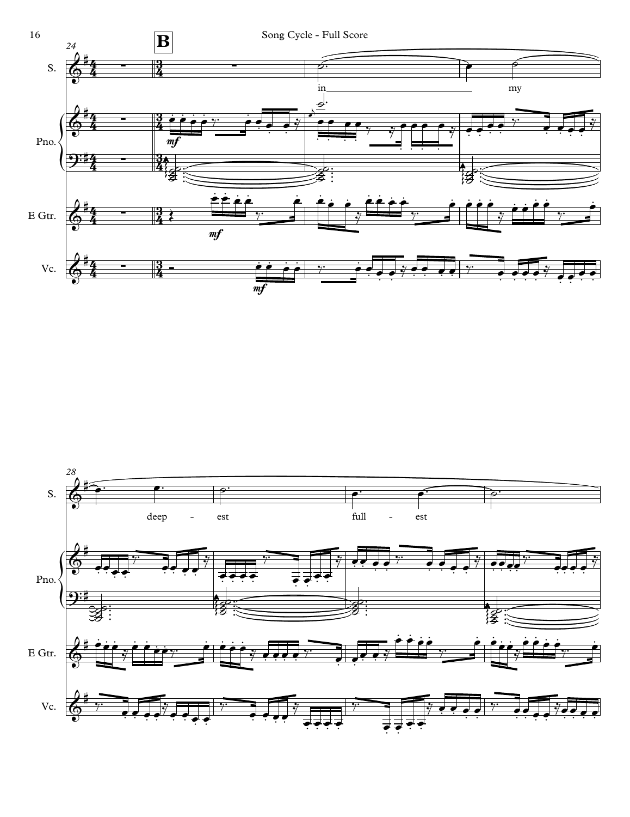

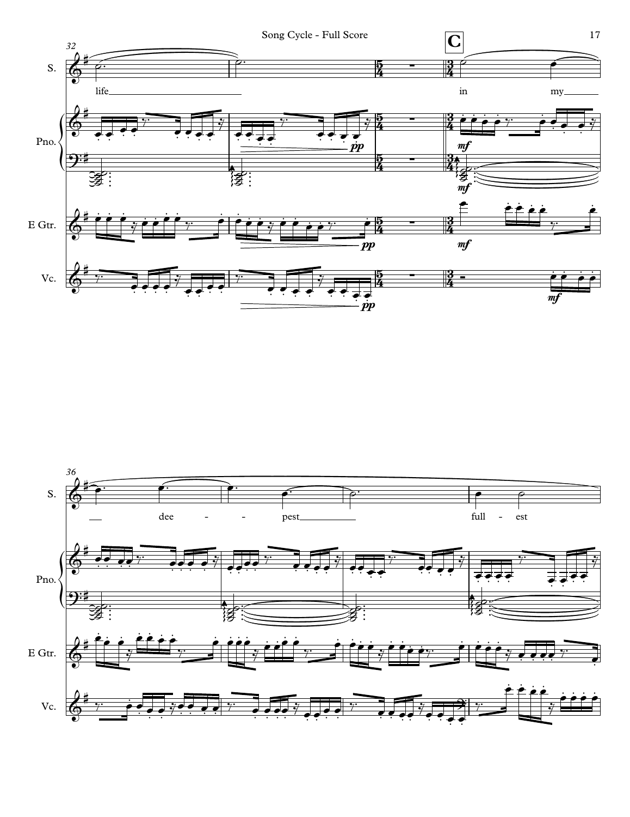

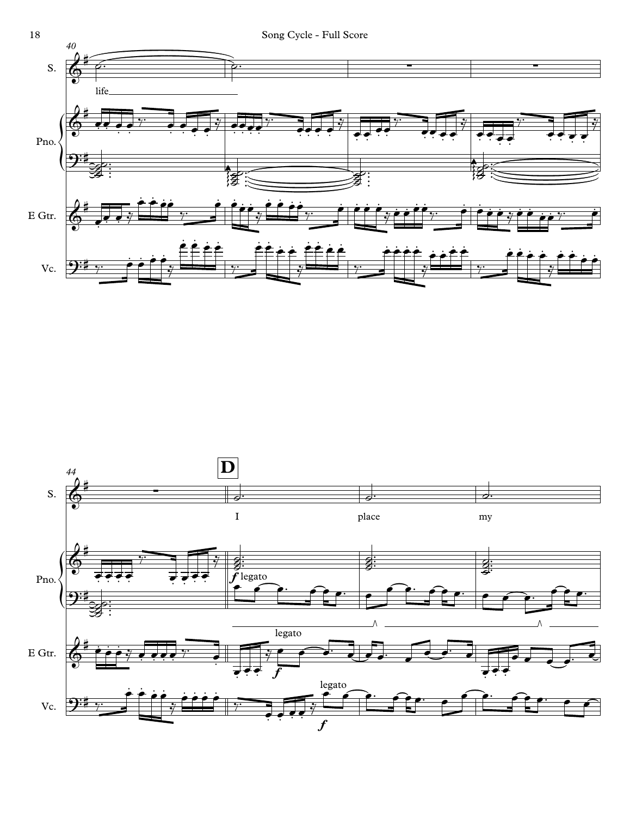

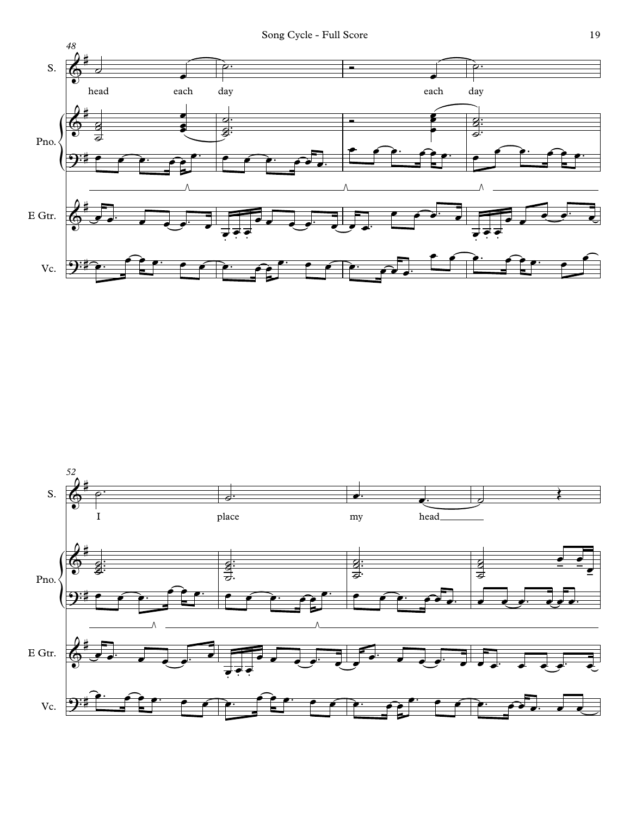



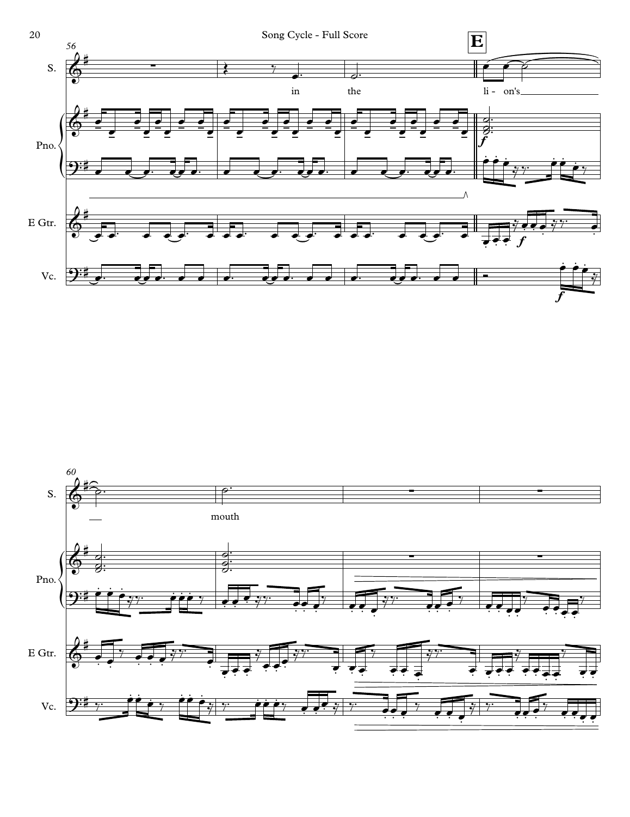

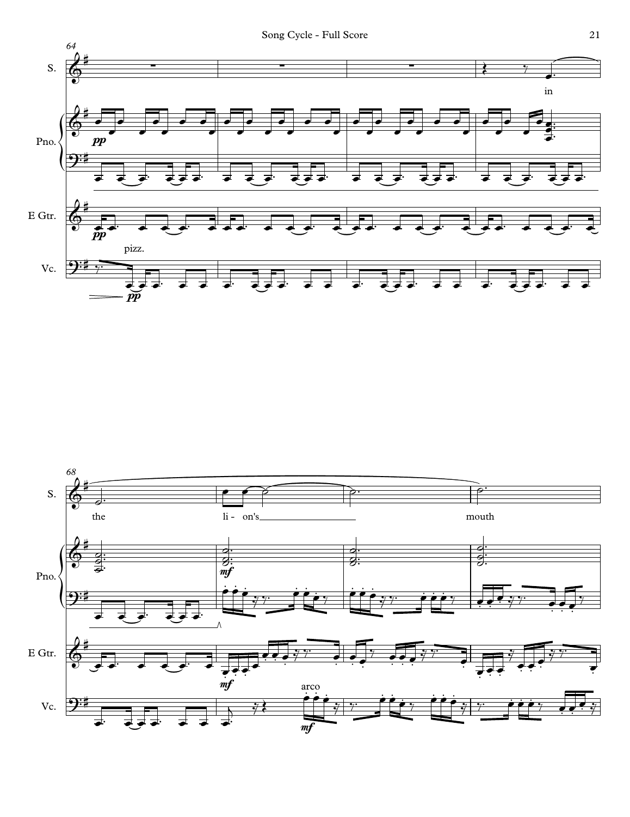

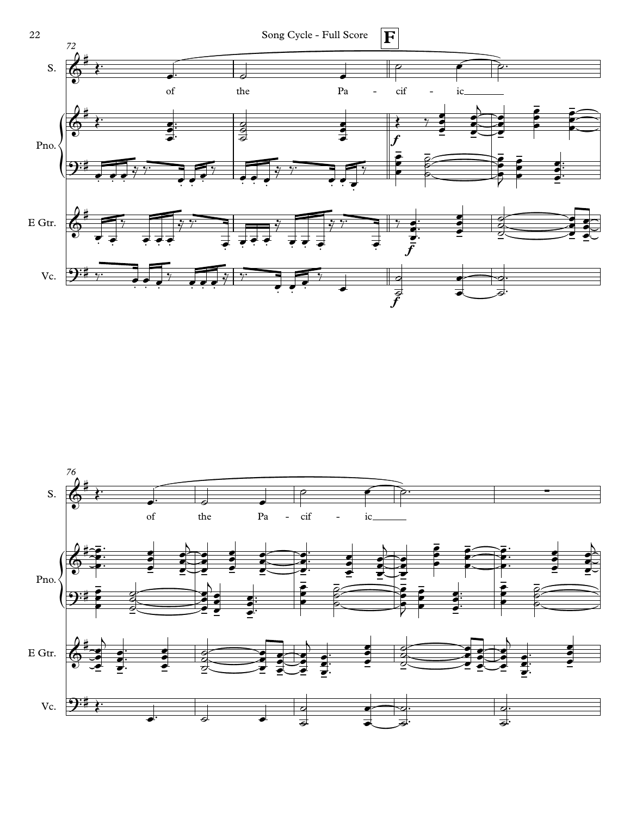

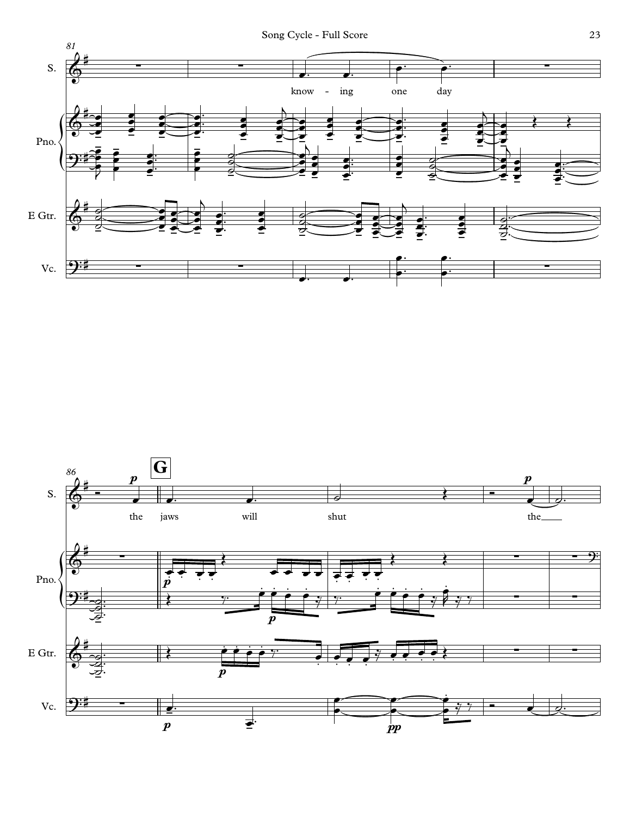

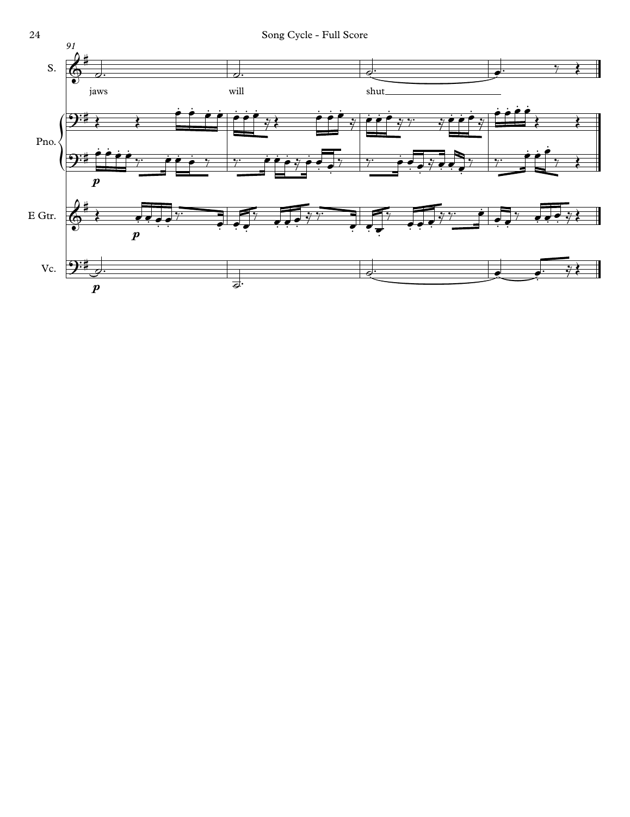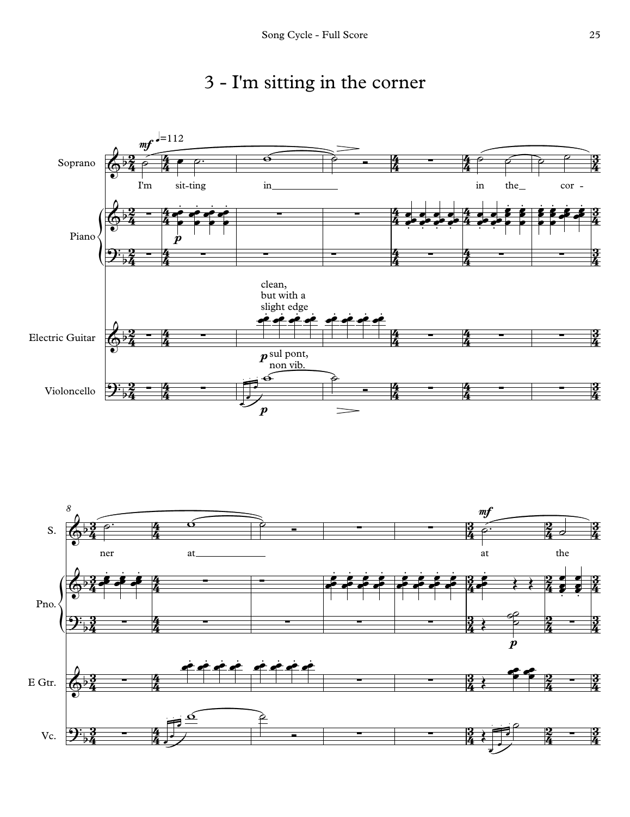## 3 - I'm sitting in the corner



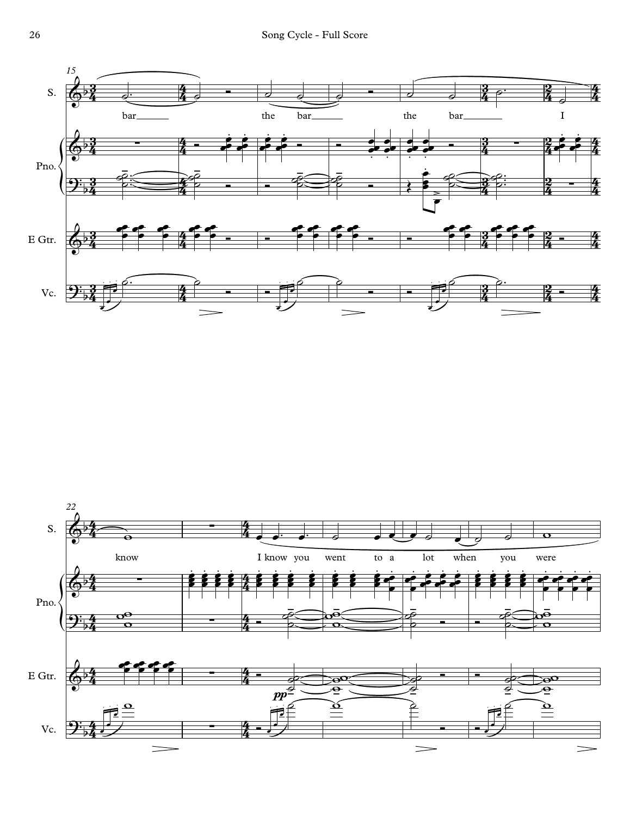

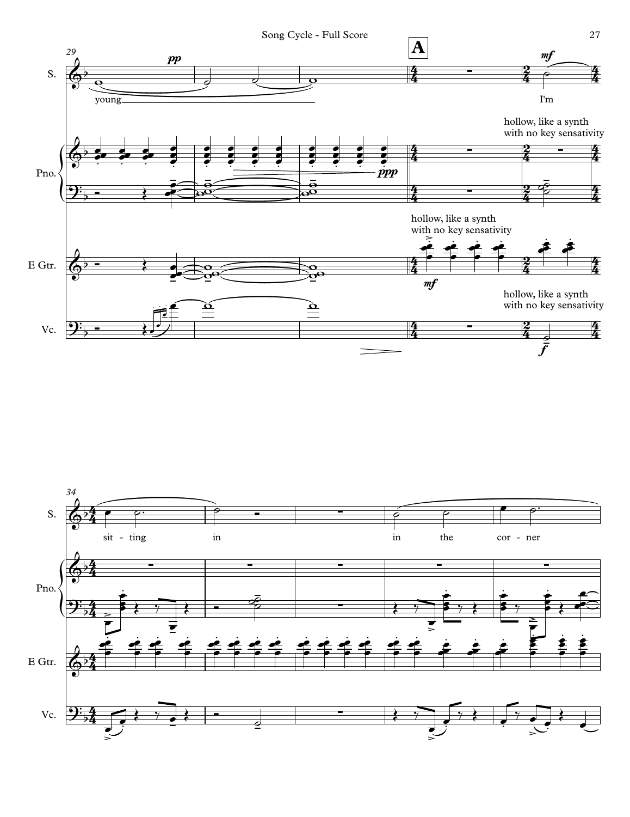

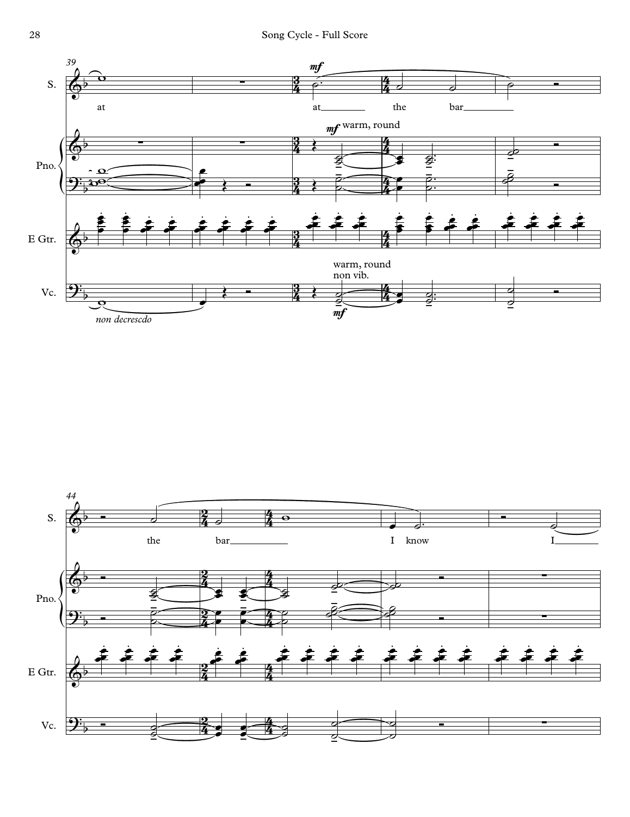

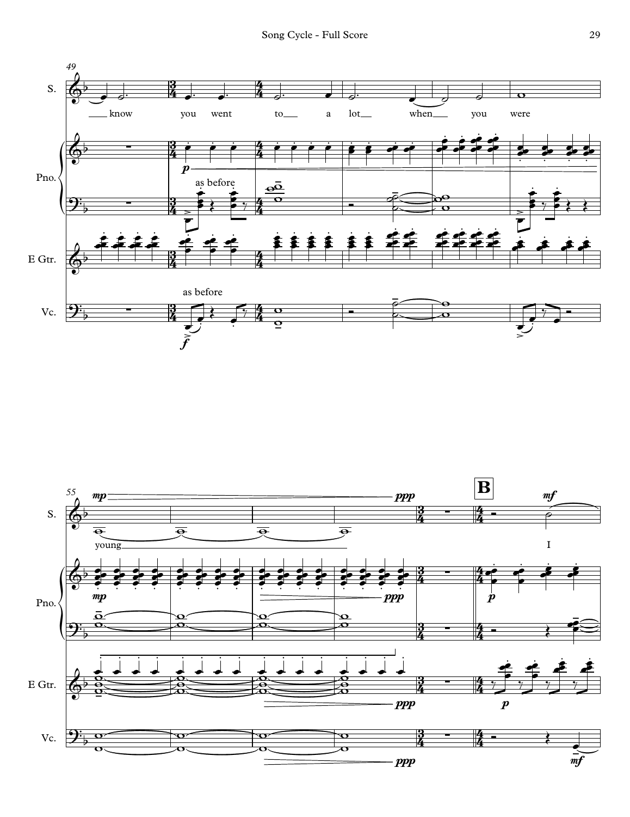![](_page_28_Figure_1.jpeg)

![](_page_28_Figure_2.jpeg)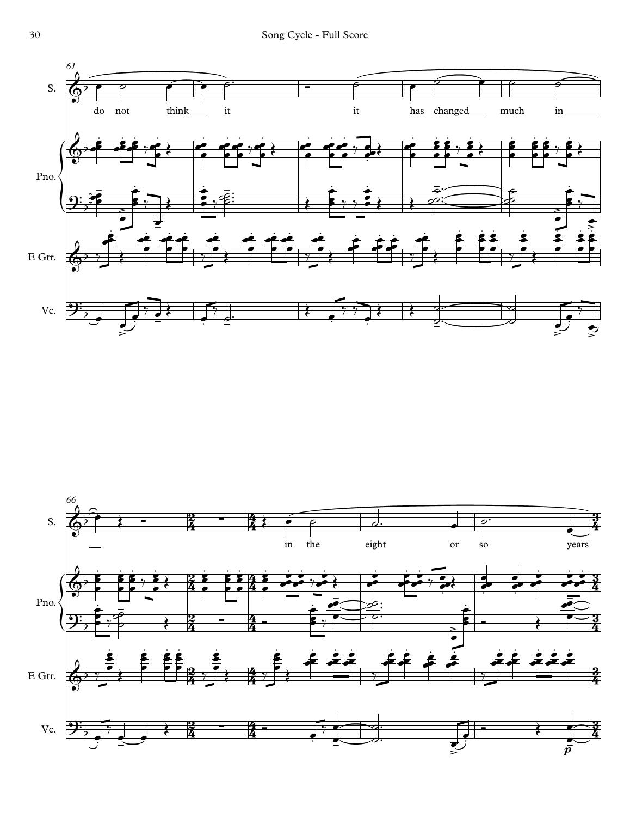![](_page_29_Figure_1.jpeg)

![](_page_29_Figure_2.jpeg)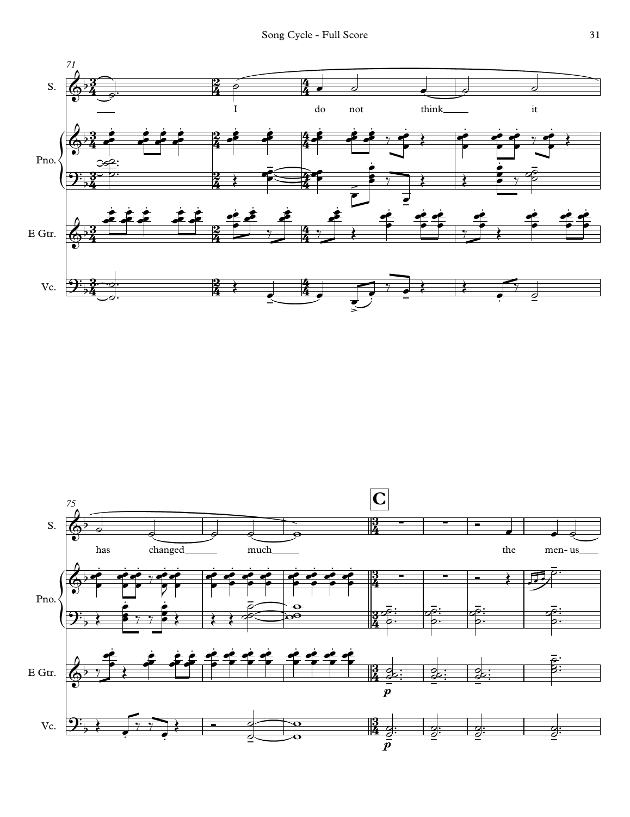![](_page_30_Figure_1.jpeg)

![](_page_30_Figure_2.jpeg)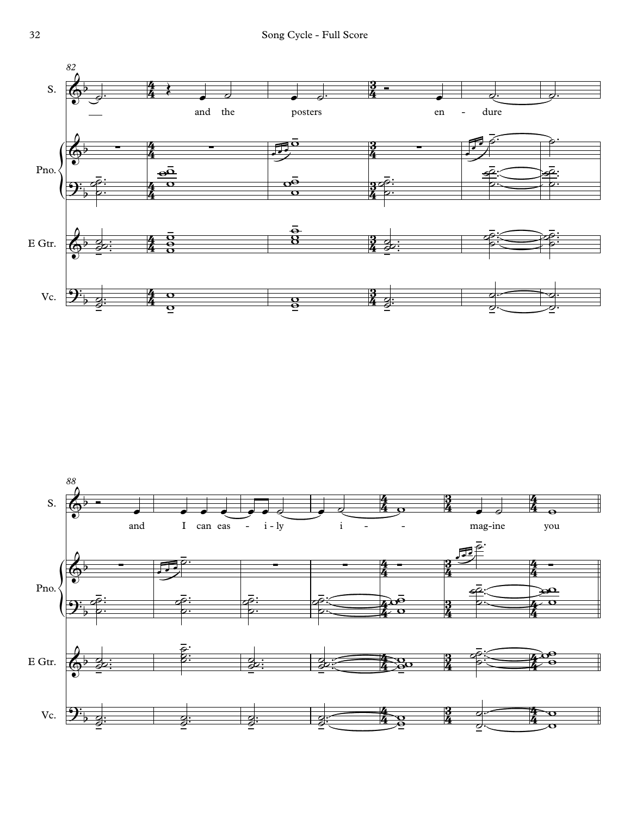![](_page_31_Figure_1.jpeg)

![](_page_31_Figure_2.jpeg)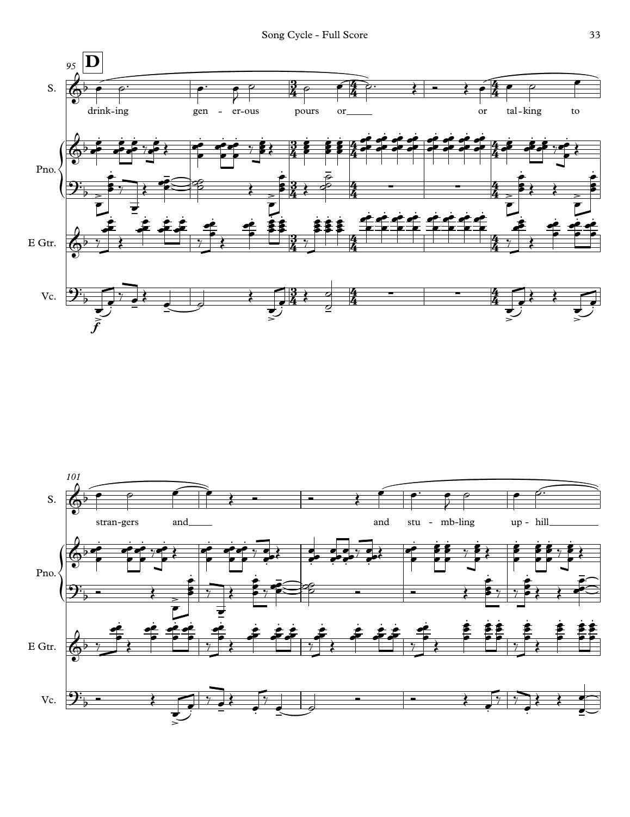![](_page_32_Figure_1.jpeg)

![](_page_32_Figure_2.jpeg)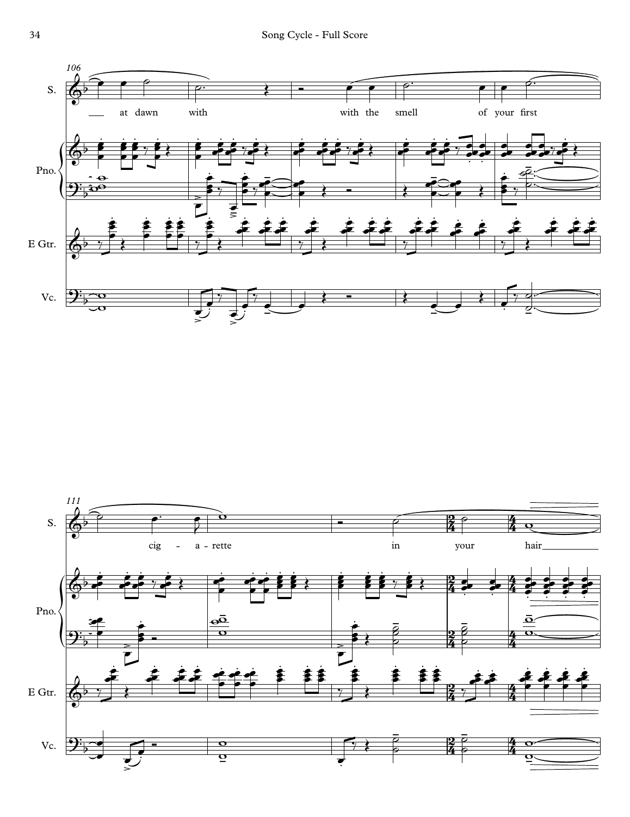![](_page_33_Figure_1.jpeg)

![](_page_33_Figure_2.jpeg)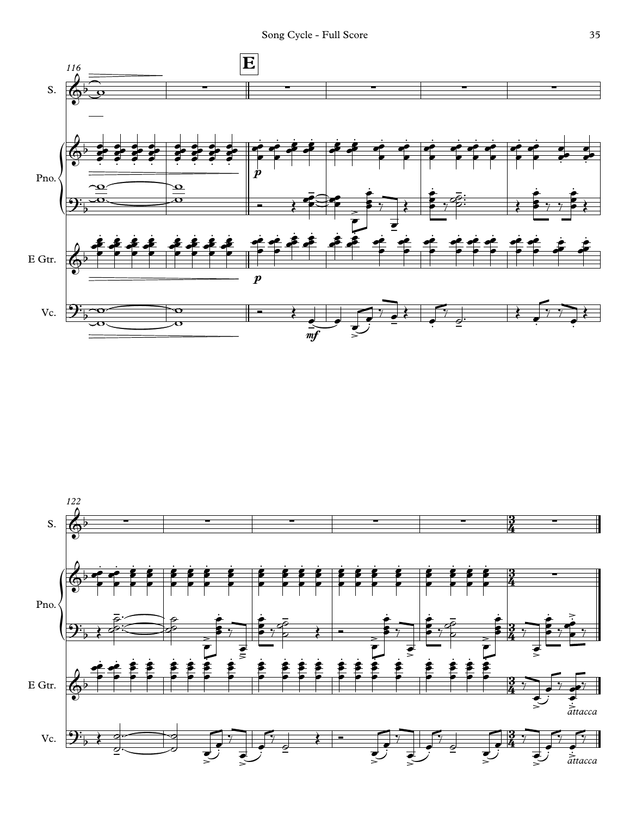![](_page_34_Figure_1.jpeg)

![](_page_34_Figure_2.jpeg)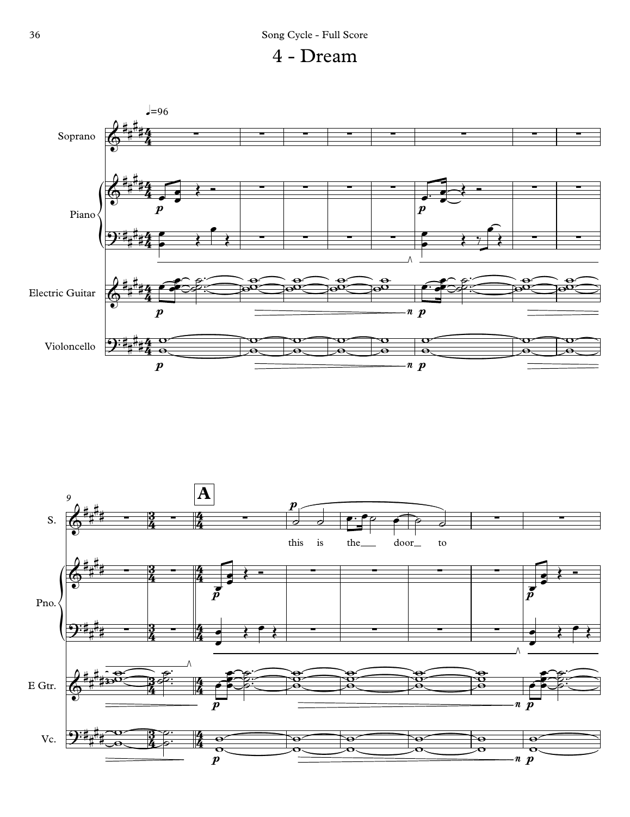![](_page_35_Figure_1.jpeg)

![](_page_35_Figure_2.jpeg)

![](_page_35_Figure_3.jpeg)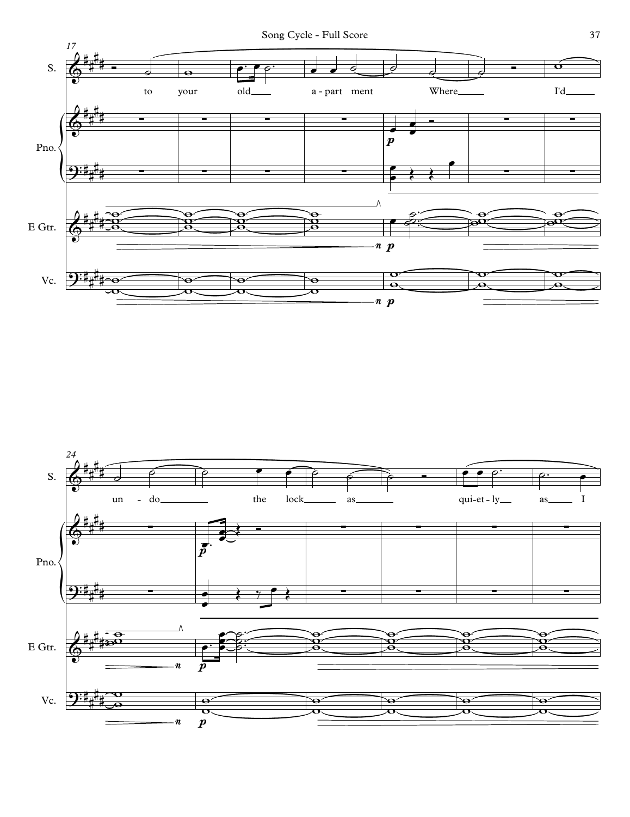![](_page_36_Figure_0.jpeg)

![](_page_36_Figure_1.jpeg)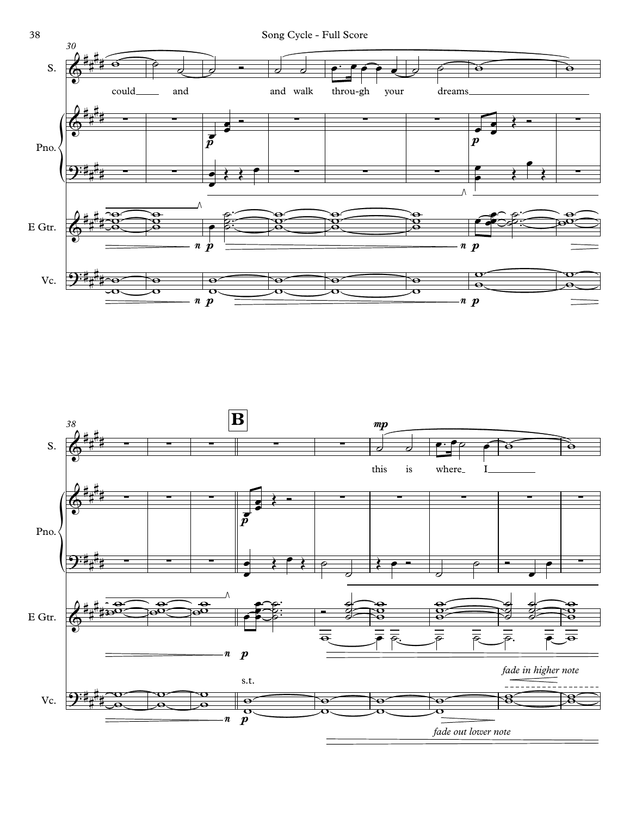![](_page_37_Figure_0.jpeg)

![](_page_37_Figure_1.jpeg)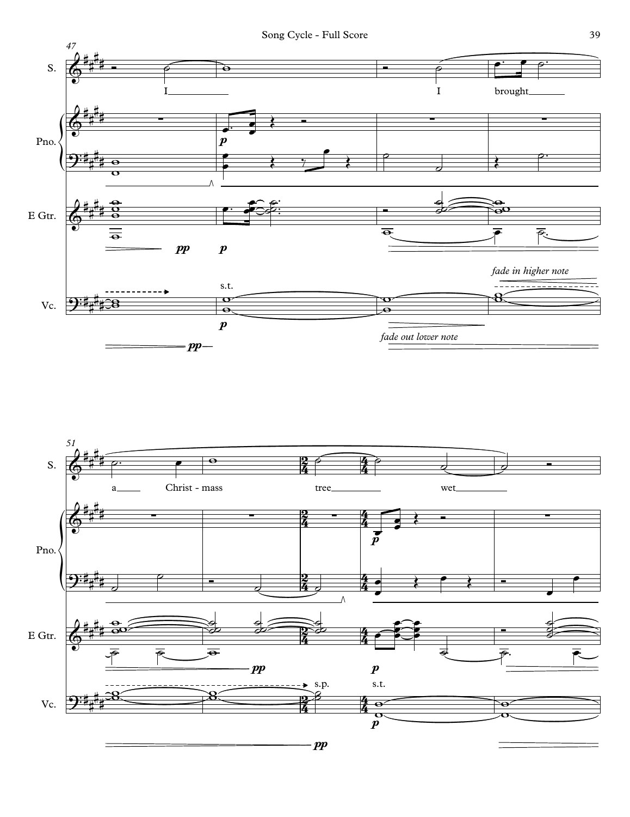![](_page_38_Figure_0.jpeg)

![](_page_38_Figure_1.jpeg)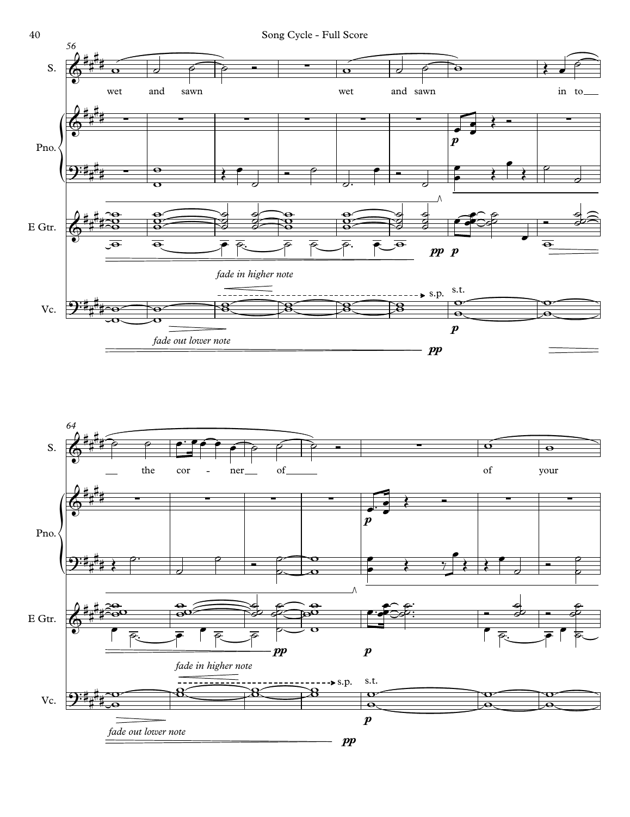![](_page_39_Figure_0.jpeg)

![](_page_39_Figure_1.jpeg)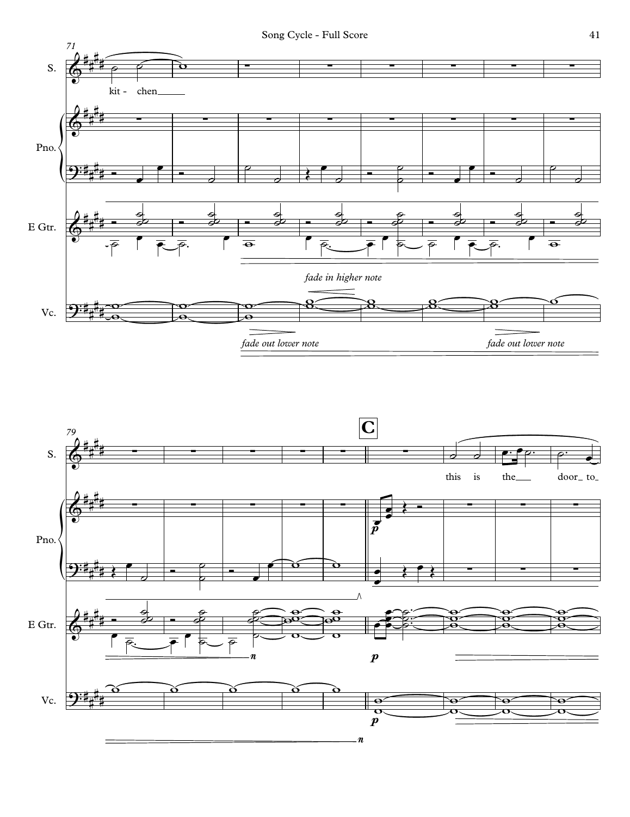![](_page_40_Figure_0.jpeg)

![](_page_40_Figure_1.jpeg)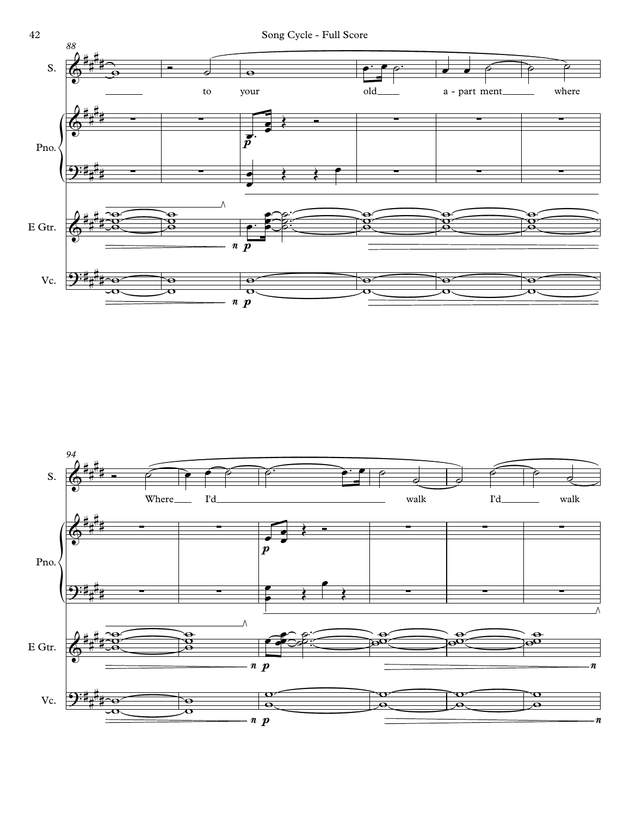![](_page_41_Figure_0.jpeg)

![](_page_41_Figure_1.jpeg)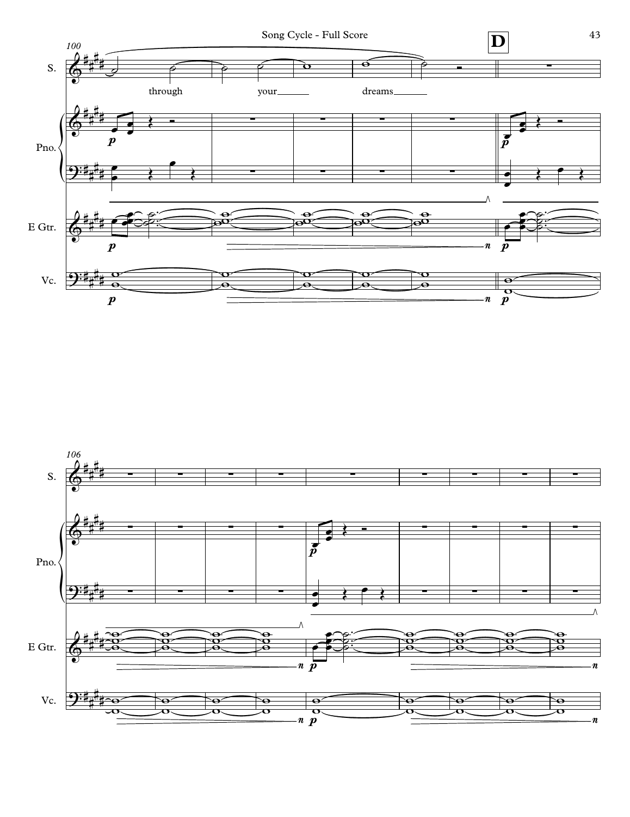![](_page_42_Figure_0.jpeg)

![](_page_42_Figure_1.jpeg)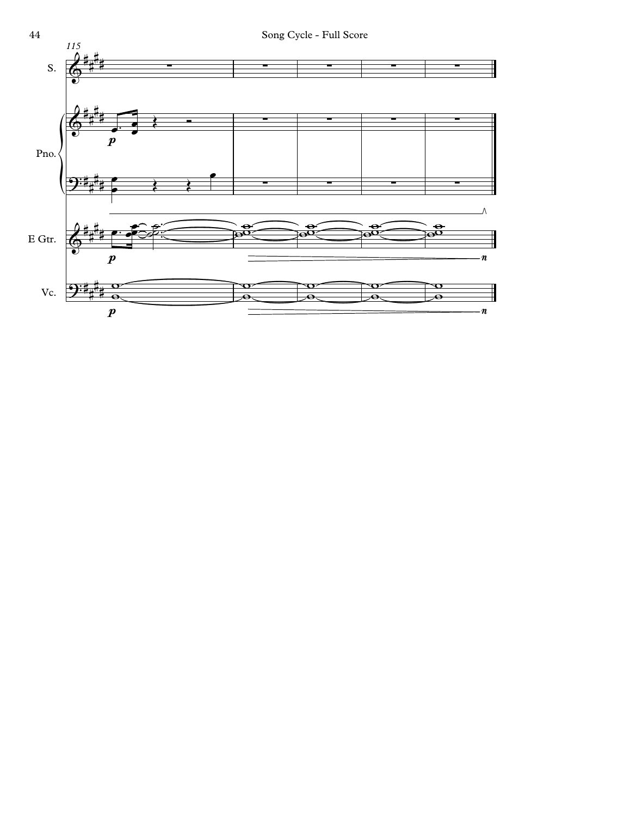![](_page_43_Figure_0.jpeg)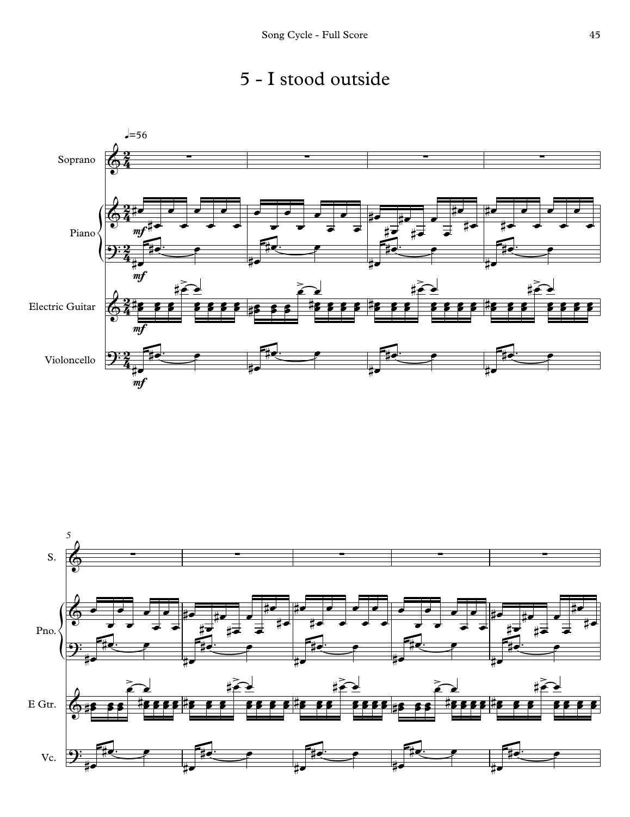![](_page_44_Figure_1.jpeg)

![](_page_44_Figure_2.jpeg)

![](_page_44_Figure_3.jpeg)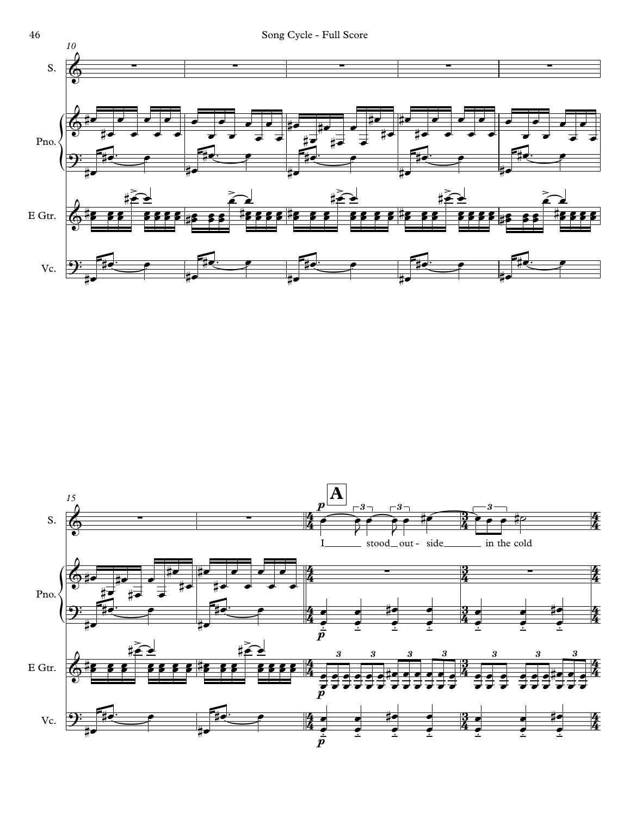![](_page_45_Figure_0.jpeg)

![](_page_45_Figure_1.jpeg)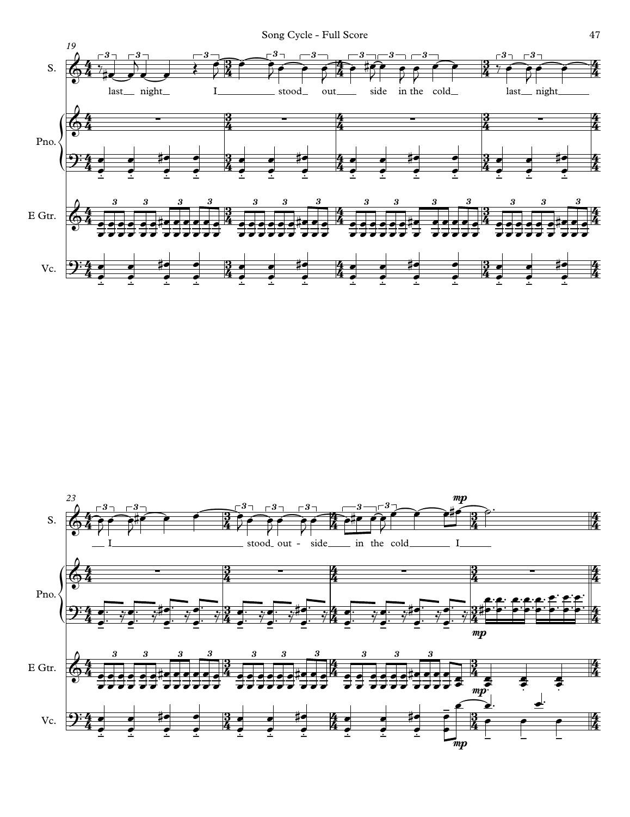![](_page_46_Figure_0.jpeg)

![](_page_46_Figure_1.jpeg)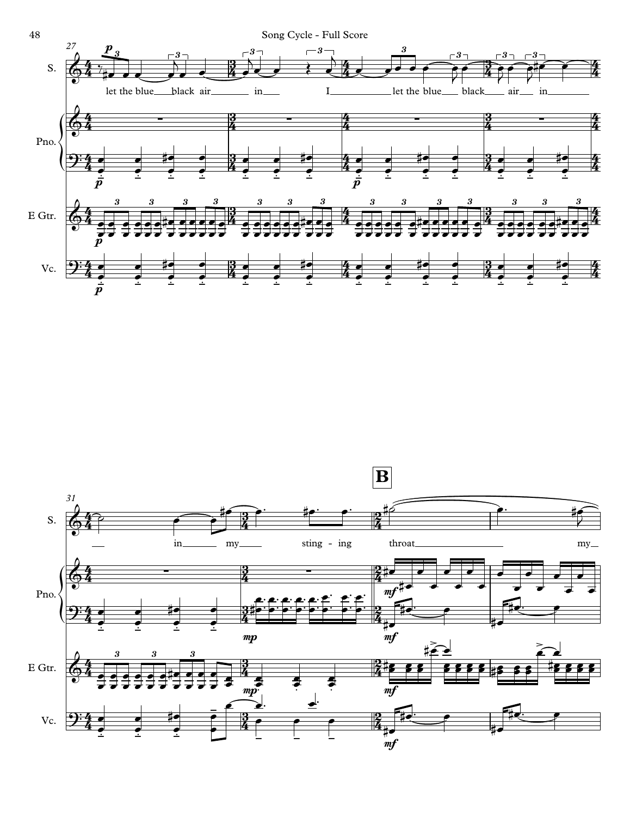![](_page_47_Figure_0.jpeg)

![](_page_47_Figure_1.jpeg)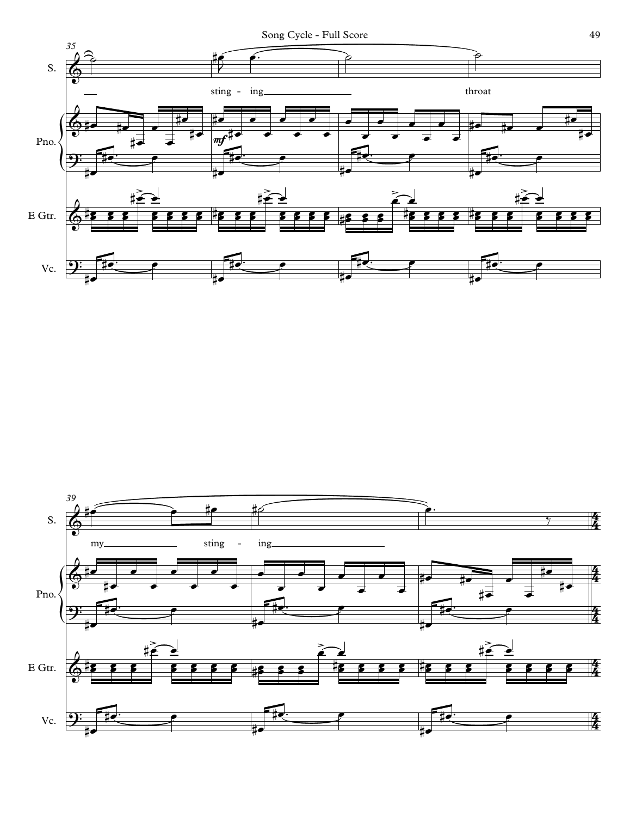![](_page_48_Figure_0.jpeg)

![](_page_48_Figure_1.jpeg)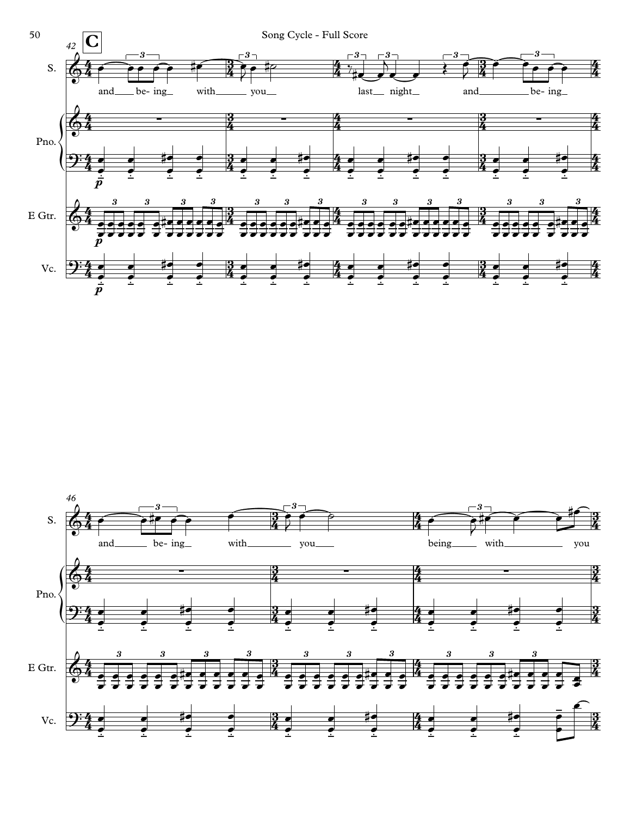![](_page_49_Figure_0.jpeg)

![](_page_49_Figure_1.jpeg)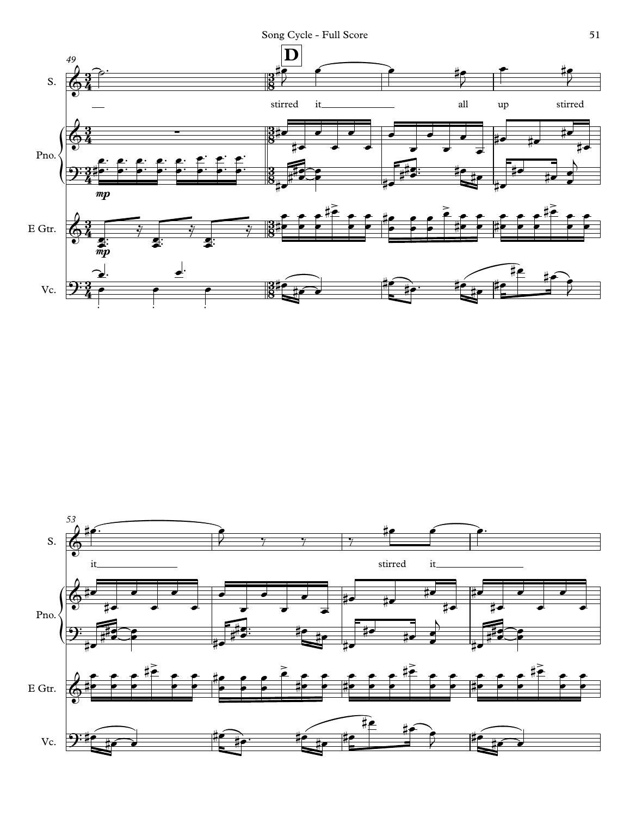![](_page_50_Figure_0.jpeg)

![](_page_50_Figure_1.jpeg)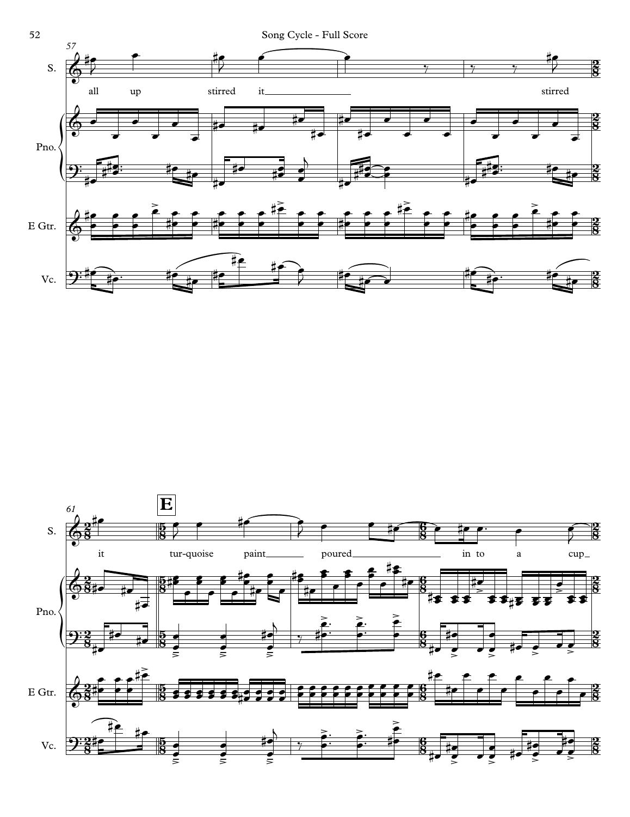![](_page_51_Figure_0.jpeg)

![](_page_51_Figure_1.jpeg)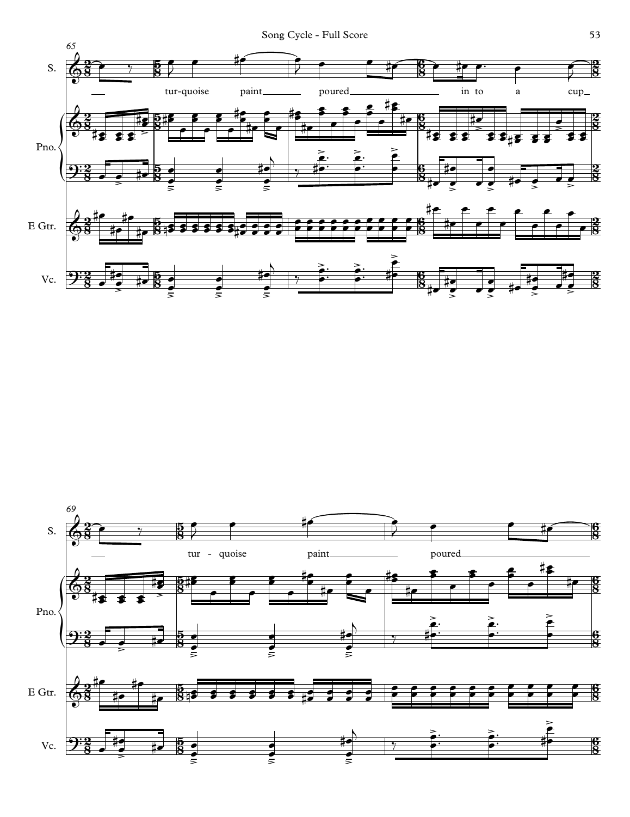![](_page_52_Figure_0.jpeg)

![](_page_52_Figure_1.jpeg)

![](_page_52_Figure_2.jpeg)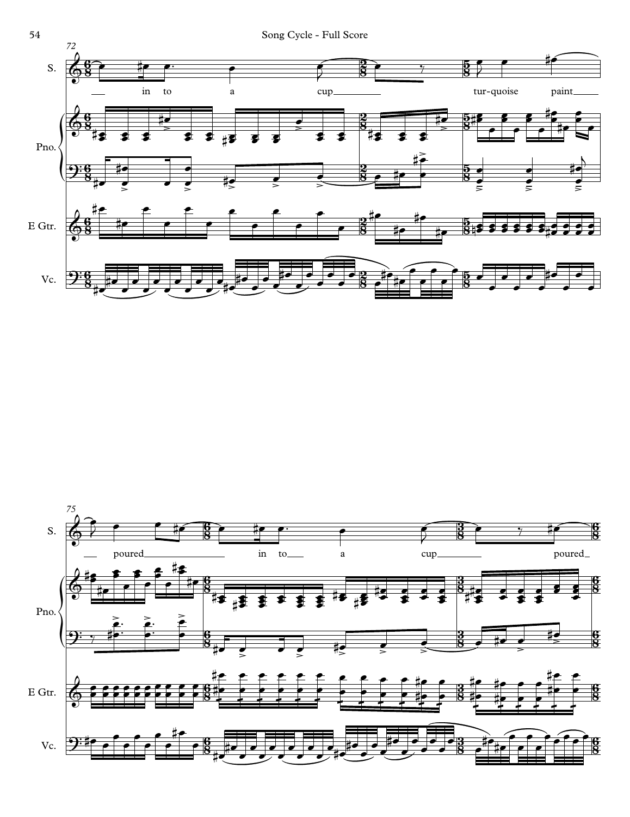![](_page_53_Figure_0.jpeg)

![](_page_53_Figure_1.jpeg)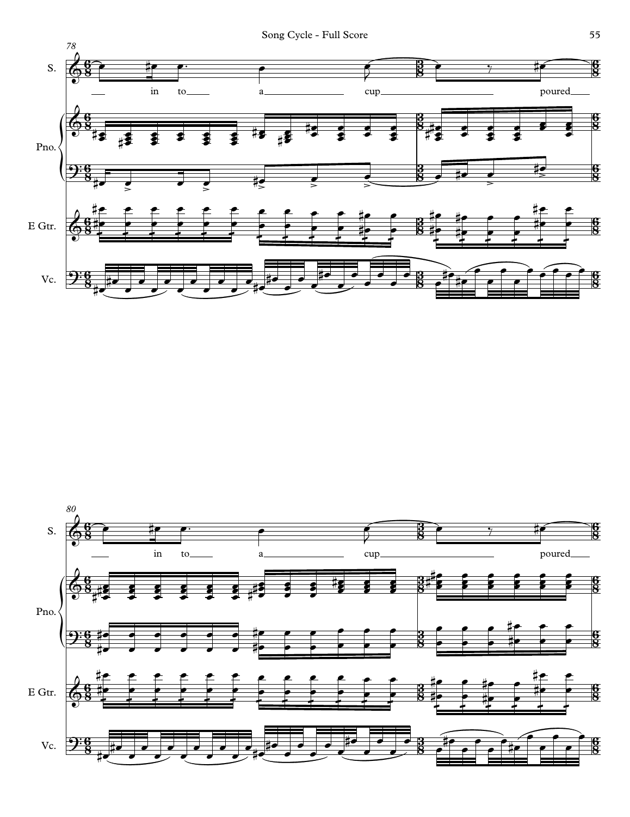![](_page_54_Figure_1.jpeg)

![](_page_54_Figure_2.jpeg)